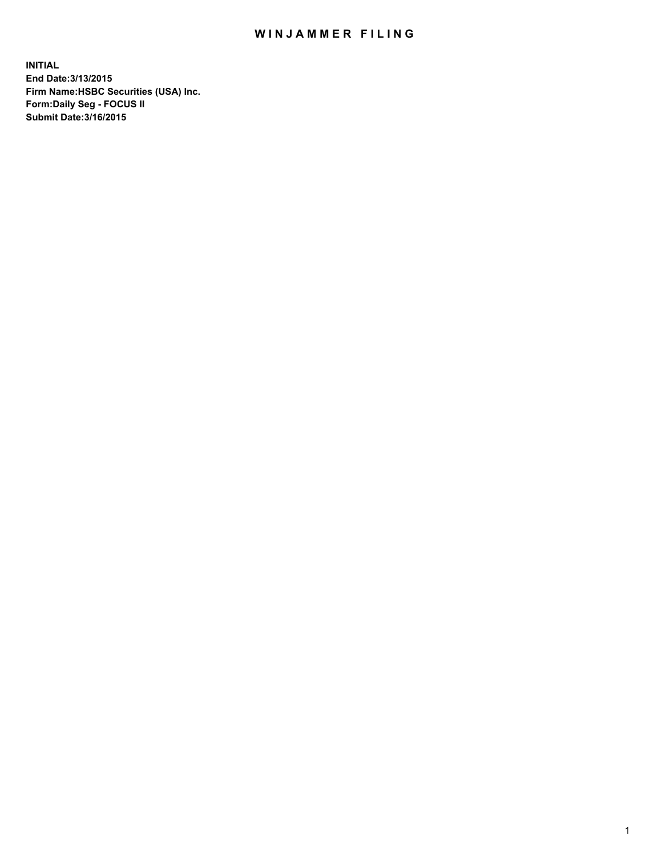## WIN JAMMER FILING

**INITIAL End Date:3/13/2015 Firm Name:HSBC Securities (USA) Inc. Form:Daily Seg - FOCUS II Submit Date:3/16/2015**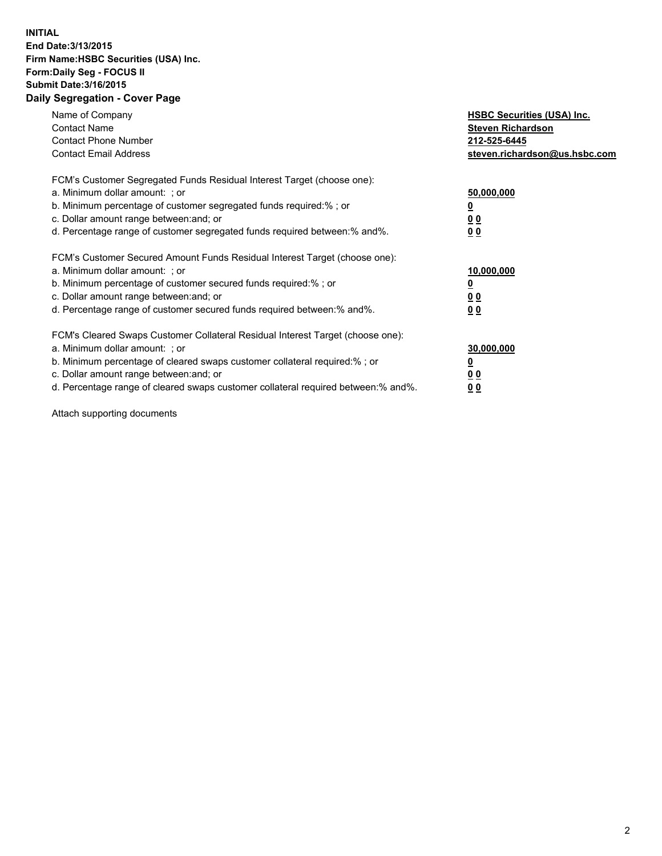## **INITIAL End Date:3/13/2015 Firm Name:HSBC Securities (USA) Inc. Form:Daily Seg - FOCUS II Submit Date:3/16/2015 Daily Segregation - Cover Page**

| Name of Company<br><b>Contact Name</b><br><b>Contact Phone Number</b><br><b>Contact Email Address</b>                                                                                                                                                                                                                          | <b>HSBC Securities (USA) Inc.</b><br><b>Steven Richardson</b><br>212-525-6445<br>steven.richardson@us.hsbc.com |
|--------------------------------------------------------------------------------------------------------------------------------------------------------------------------------------------------------------------------------------------------------------------------------------------------------------------------------|----------------------------------------------------------------------------------------------------------------|
| FCM's Customer Segregated Funds Residual Interest Target (choose one):<br>a. Minimum dollar amount: ; or<br>b. Minimum percentage of customer segregated funds required:%; or<br>c. Dollar amount range between: and; or<br>d. Percentage range of customer segregated funds required between: % and %.                        | 50,000,000<br>0 <sub>0</sub><br>0 <sub>0</sub>                                                                 |
| FCM's Customer Secured Amount Funds Residual Interest Target (choose one):<br>a. Minimum dollar amount: ; or<br>b. Minimum percentage of customer secured funds required:%; or<br>c. Dollar amount range between: and; or<br>d. Percentage range of customer secured funds required between:% and%.                            | 10,000,000<br><u>0</u><br>0 <sub>0</sub><br>0 <sub>0</sub>                                                     |
| FCM's Cleared Swaps Customer Collateral Residual Interest Target (choose one):<br>a. Minimum dollar amount: ; or<br>b. Minimum percentage of cleared swaps customer collateral required:% ; or<br>c. Dollar amount range between: and; or<br>d. Percentage range of cleared swaps customer collateral required between:% and%. | 30,000,000<br>00<br><u>00</u>                                                                                  |

Attach supporting documents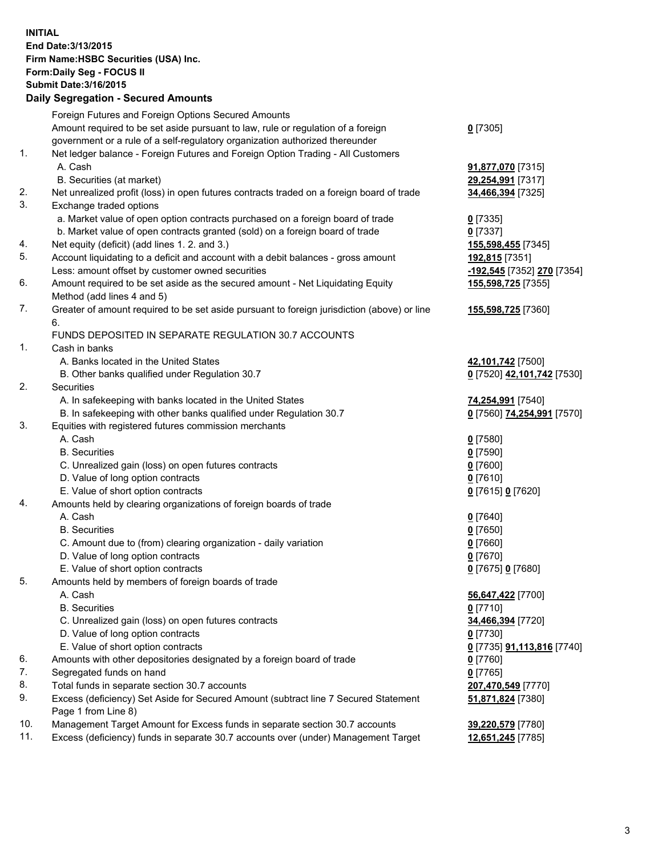**INITIAL End Date:3/13/2015 Firm Name:HSBC Securities (USA) Inc. Form:Daily Seg - FOCUS II Submit Date:3/16/2015 Daily Segregation - Secured Amounts**

|     | 00grogaacon 000aroa, anoana                                                                 |                                          |
|-----|---------------------------------------------------------------------------------------------|------------------------------------------|
|     | Foreign Futures and Foreign Options Secured Amounts                                         |                                          |
|     | Amount required to be set aside pursuant to law, rule or regulation of a foreign            | $0$ [7305]                               |
|     | government or a rule of a self-regulatory organization authorized thereunder                |                                          |
| 1.  | Net ledger balance - Foreign Futures and Foreign Option Trading - All Customers             |                                          |
|     | A. Cash                                                                                     | 91,877,070 [7315]                        |
|     | B. Securities (at market)                                                                   | 29,254,991 [7317]                        |
| 2.  | Net unrealized profit (loss) in open futures contracts traded on a foreign board of trade   | 34,466,394 [7325]                        |
| 3.  | Exchange traded options                                                                     |                                          |
|     | a. Market value of open option contracts purchased on a foreign board of trade              | $0$ [7335]                               |
|     | b. Market value of open contracts granted (sold) on a foreign board of trade                | $0$ [7337]                               |
| 4.  | Net equity (deficit) (add lines 1.2. and 3.)                                                | 155,598,455 [7345]                       |
| 5.  | Account liquidating to a deficit and account with a debit balances - gross amount           | 192,815 [7351]                           |
|     | Less: amount offset by customer owned securities                                            | -192,545 [7352] 270 [7354]               |
| 6.  | Amount required to be set aside as the secured amount - Net Liquidating Equity              | 155,598,725 [7355]                       |
|     | Method (add lines 4 and 5)                                                                  |                                          |
| 7.  | Greater of amount required to be set aside pursuant to foreign jurisdiction (above) or line | 155,598,725 [7360]                       |
|     | 6.                                                                                          |                                          |
|     | FUNDS DEPOSITED IN SEPARATE REGULATION 30.7 ACCOUNTS                                        |                                          |
| 1.  | Cash in banks                                                                               |                                          |
|     | A. Banks located in the United States                                                       | 42,101,742 [7500]                        |
|     | B. Other banks qualified under Regulation 30.7                                              | 0 [7520] 42,101,742 [7530]               |
| 2.  | Securities                                                                                  |                                          |
|     | A. In safekeeping with banks located in the United States                                   | 74,254,991 [7540]                        |
|     | B. In safekeeping with other banks qualified under Regulation 30.7                          | 0 [7560] 74,254,991 [7570]               |
| 3.  | Equities with registered futures commission merchants                                       |                                          |
|     | A. Cash                                                                                     | $0$ [7580]                               |
|     | <b>B.</b> Securities                                                                        | $0$ [7590]                               |
|     | C. Unrealized gain (loss) on open futures contracts                                         | $0$ [7600]                               |
|     | D. Value of long option contracts                                                           | $0$ [7610]                               |
|     | E. Value of short option contracts                                                          | 0 [7615] 0 [7620]                        |
| 4.  | Amounts held by clearing organizations of foreign boards of trade                           |                                          |
|     | A. Cash                                                                                     | $0$ [7640]                               |
|     | <b>B.</b> Securities                                                                        | $0$ [7650]                               |
|     | C. Amount due to (from) clearing organization - daily variation                             | $0$ [7660]                               |
|     | D. Value of long option contracts                                                           | $0$ [7670]                               |
|     | E. Value of short option contracts                                                          | 0 [7675] 0 [7680]                        |
| 5.  | Amounts held by members of foreign boards of trade                                          |                                          |
|     | A. Cash                                                                                     | 56,647,422 [7700]                        |
|     | <b>B.</b> Securities                                                                        | $0$ [7710]                               |
|     | C. Unrealized gain (loss) on open futures contracts                                         | 34,466,394 [7720]                        |
|     | D. Value of long option contracts                                                           | $0$ [7730]                               |
|     | E. Value of short option contracts                                                          | <u>0</u> [7735] <b>91,113,816</b> [7740] |
| 6.  | Amounts with other depositories designated by a foreign board of trade                      | 0 [7760]                                 |
| 7.  | Segregated funds on hand                                                                    | $0$ [7765]                               |
| 8.  | Total funds in separate section 30.7 accounts                                               | 207,470,549 [7770]                       |
| 9.  | Excess (deficiency) Set Aside for Secured Amount (subtract line 7 Secured Statement         | 51,871,824 [7380]                        |
|     | Page 1 from Line 8)                                                                         |                                          |
| 10. | Management Target Amount for Excess funds in separate section 30.7 accounts                 | 39,220,579 [7780]                        |
| 11. | Excess (deficiency) funds in separate 30.7 accounts over (under) Management Target          | 12,651,245 [7785]                        |
|     |                                                                                             |                                          |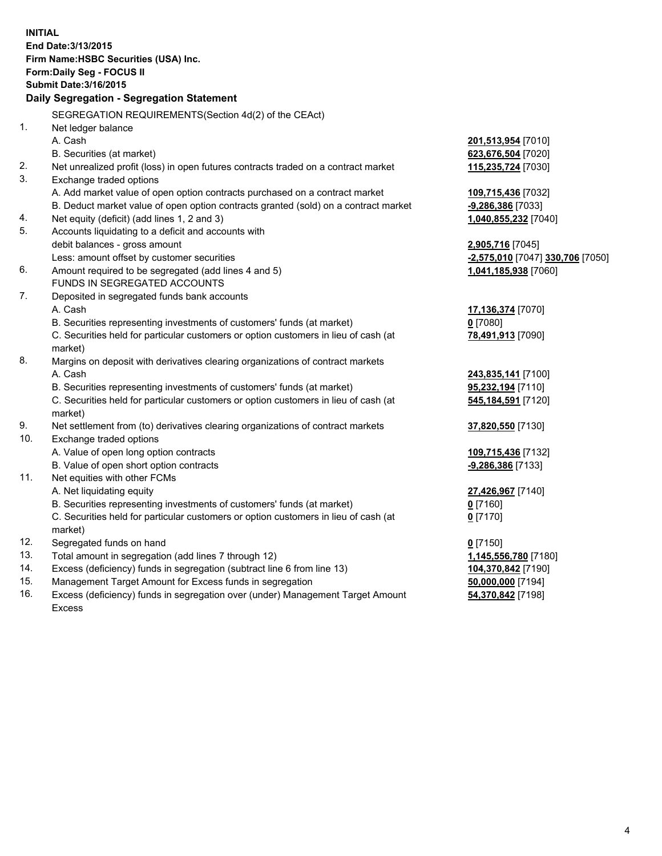**INITIAL End Date:3/13/2015 Firm Name:HSBC Securities (USA) Inc. Form:Daily Seg - FOCUS II Submit Date:3/16/2015 Daily Segregation - Segregation Statement** SEGREGATION REQUIREMENTS(Section 4d(2) of the CEAct) 1. Net ledger balance A. Cash **201,513,954** [7010] B. Securities (at market) **623,676,504** [7020] 2. Net unrealized profit (loss) in open futures contracts traded on a contract market **115,235,724** [7030] 3. Exchange traded options A. Add market value of open option contracts purchased on a contract market **109,715,436** [7032] B. Deduct market value of open option contracts granted (sold) on a contract market **-9,286,386** [7033] 4. Net equity (deficit) (add lines 1, 2 and 3) **1,040,855,232** [7040] 5. Accounts liquidating to a deficit and accounts with debit balances - gross amount **2,905,716** [7045] Less: amount offset by customer securities **-2,575,010** [7047] **330,706** [7050] 6. Amount required to be segregated (add lines 4 and 5) **1,041,185,938** [7060] FUNDS IN SEGREGATED ACCOUNTS 7. Deposited in segregated funds bank accounts A. Cash **17,136,374** [7070] B. Securities representing investments of customers' funds (at market) **0** [7080] C. Securities held for particular customers or option customers in lieu of cash (at market) **78,491,913** [7090] 8. Margins on deposit with derivatives clearing organizations of contract markets A. Cash **243,835,141** [7100] B. Securities representing investments of customers' funds (at market) **95,232,194** [7110] C. Securities held for particular customers or option customers in lieu of cash (at market) **545,184,591** [7120] 9. Net settlement from (to) derivatives clearing organizations of contract markets **37,820,550** [7130] 10. Exchange traded options A. Value of open long option contracts **109,715,436** [7132] B. Value of open short option contracts **-9,286,386** [7133] 11. Net equities with other FCMs A. Net liquidating equity **27,426,967** [7140] B. Securities representing investments of customers' funds (at market) **0** [7160] C. Securities held for particular customers or option customers in lieu of cash (at market) **0** [7170] 12. Segregated funds on hand **0** [7150] 13. Total amount in segregation (add lines 7 through 12) **1,145,556,780** [7180] 14. Excess (deficiency) funds in segregation (subtract line 6 from line 13) **104,370,842** [7190] 15. Management Target Amount for Excess funds in segregation **50,000,000** [7194]

16. Excess (deficiency) funds in segregation over (under) Management Target Amount Excess

**54,370,842** [7198]